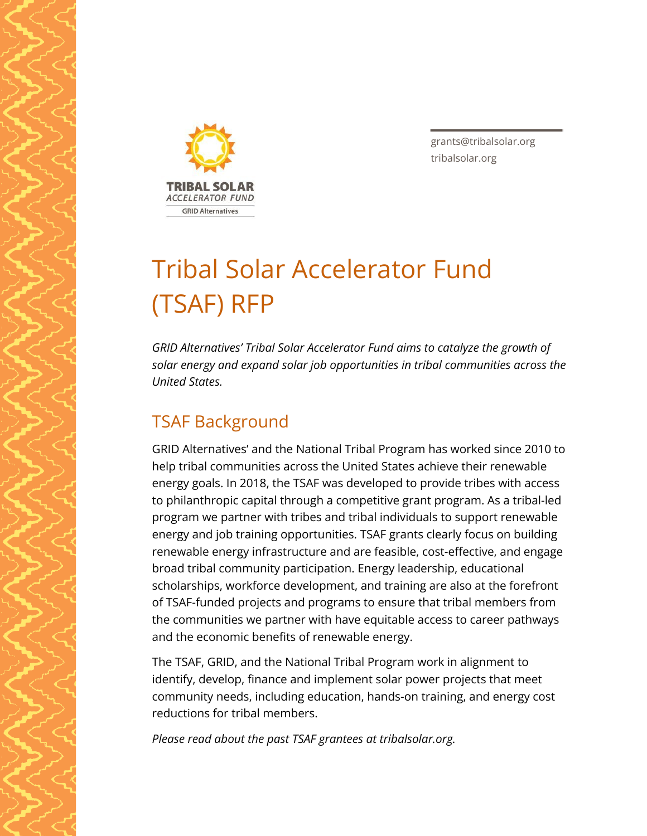

grants@tribalsolar.org tribalsolar.org

# Tribal Solar Accelerator Fund (TSAF) RFP

*GRID Alternatives' Tribal Solar Accelerator Fund aims to catalyze the growth of solar energy and expand solar job opportunities in tribal communities across the United States.*

# TSAF Background

GRID Alternatives' and the National Tribal Program has worked since 2010 to help tribal communities across the United States achieve their renewable energy goals. In 2018, the TSAF was developed to provide tribes with access to philanthropic capital through a competitive grant program. As a tribal-led program we partner with tribes and tribal individuals to support renewable energy and job training opportunities. TSAF grants clearly focus on building renewable energy infrastructure and are feasible, cost-effective, and engage broad tribal community participation. Energy leadership, educational scholarships, workforce development, and training are also at the forefront of TSAF-funded projects and programs to ensure that tribal members from the communities we partner with have equitable access to career pathways and the economic benefits of renewable energy.

The TSAF, GRID, and the National Tribal Program work in alignment to identify, develop, finance and implement solar power projects that meet community needs, including education, hands-on training, and energy cost reductions for tribal members.

*Please read about the past TSAF grantees at tribalsolar.org.*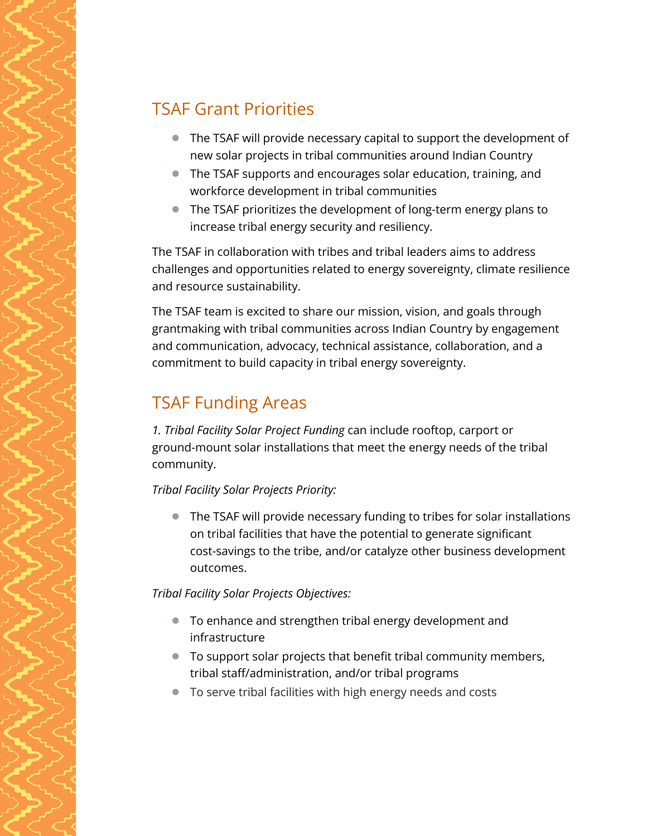#### TSAF Grant Priorities

- The TSAF will provide necessary capital to support the development of new solar projects in tribal communities around Indian Country
- The TSAF supports and encourages solar education, training, and workforce development in tribal communities
- The TSAF prioritizes the development of long-term energy plans to increase tribal energy security and resiliency.

The TSAF in collaboration with tribes and tribal leaders aims to address challenges and opportunities related to energy sovereignty, climate resilience and resource sustainability.

The TSAF team is excited to share our mission, vision, and goals through grantmaking with tribal communities across Indian Country by engagement and communication, advocacy, technical assistance, collaboration, and a commitment to build capacity in tribal energy sovereignty.

## TSAF Funding Areas

*1. Tribal Facility Solar Project Funding* can include rooftop, carport or ground-mount solar installations that meet the energy needs of the tribal community.

#### *Tribal Facility Solar Projects Priority:*

● The TSAF will provide necessary funding to tribes for solar installations on tribal facilities that have the potential to generate significant cost-savings to the tribe, and/or catalyze other business development outcomes.

#### *Tribal Facility Solar Projects Objectives:*

- To enhance and strengthen tribal energy development and infrastructure
- To support solar projects that benefit tribal community members, tribal staff/administration, and/or tribal programs
- To serve tribal facilities with high energy needs and costs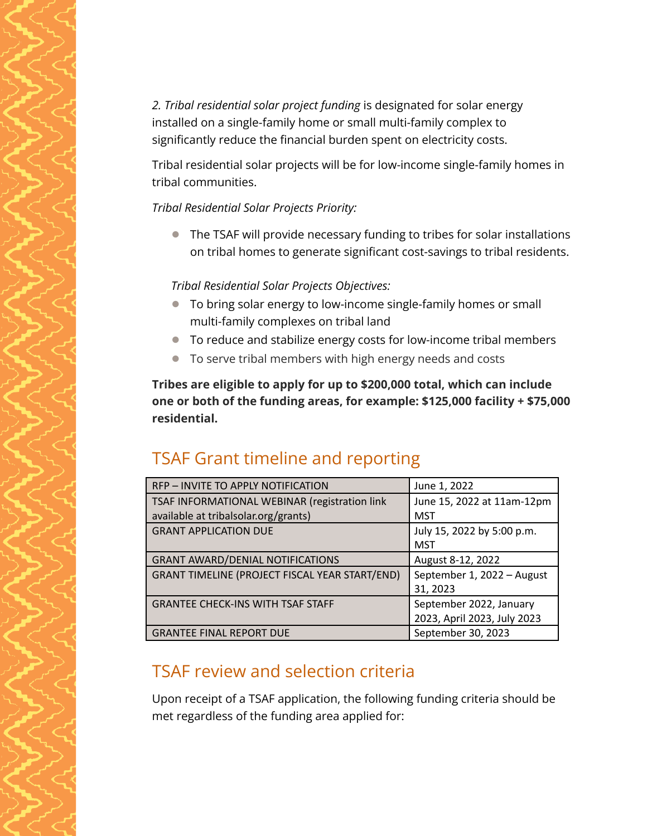*2. Tribal residential solar project funding* is designated for solar energy installed on a single-family home or small multi-family complex to significantly reduce the financial burden spent on electricity costs.

Tribal residential solar projects will be for low-income single-family homes in tribal communities.

*Tribal Residential Solar Projects Priority:*

● The TSAF will provide necessary funding to tribes for solar installations on tribal homes to generate significant cost-savings to tribal residents.

*Tribal Residential Solar Projects Objectives:*

- To bring solar energy to low-income single-family homes or small multi-family complexes on tribal land
- To reduce and stabilize energy costs for low-income tribal members
- To serve tribal members with high energy needs and costs

**Tribes are eligible to apply for up to \$200,000 total, which can include one or both of the funding areas, for example: \$125,000 facility + \$75,000 residential.**

## TSAF Grant timeline and reporting

| RFP - INVITE TO APPLY NOTIFICATION                    | June 1, 2022                                           |
|-------------------------------------------------------|--------------------------------------------------------|
| TSAF INFORMATIONAL WEBINAR (registration link         | June 15, 2022 at 11am-12pm                             |
| available at tribalsolar.org/grants)                  | MST                                                    |
| <b>GRANT APPLICATION DUE</b>                          | July 15, 2022 by 5:00 p.m.<br>MST                      |
| <b>GRANT AWARD/DENIAL NOTIFICATIONS</b>               | August 8-12, 2022                                      |
| <b>GRANT TIMELINE (PROJECT FISCAL YEAR START/END)</b> | September 1, 2022 - August<br>31, 2023                 |
| <b>GRANTEE CHECK-INS WITH TSAF STAFF</b>              | September 2022, January<br>2023, April 2023, July 2023 |
| <b>GRANTEE FINAL REPORT DUE</b>                       | September 30, 2023                                     |

## TSAF review and selection criteria

Upon receipt of a TSAF application, the following funding criteria should be met regardless of the funding area applied for: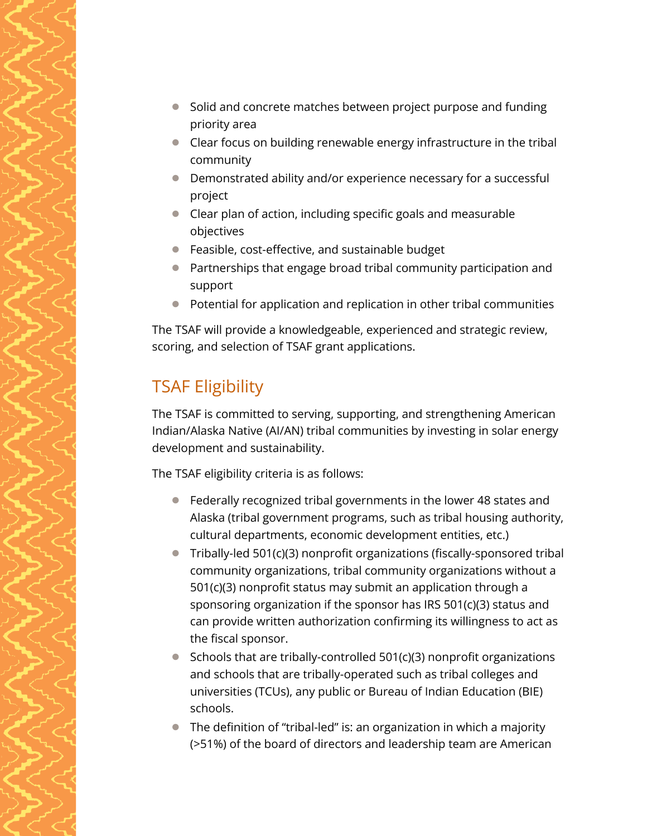- Solid and concrete matches between project purpose and funding priority area
- Clear focus on building renewable energy infrastructure in the tribal community
- Demonstrated ability and/or experience necessary for a successful project
- Clear plan of action, including specific goals and measurable objectives
- Feasible, cost-effective, and sustainable budget
- Partnerships that engage broad tribal community participation and support
- Potential for application and replication in other tribal communities

The TSAF will provide a knowledgeable, experienced and strategic review, scoring, and selection of TSAF grant applications.

# TSAF Eligibility

The TSAF is committed to serving, supporting, and strengthening American Indian/Alaska Native (AI/AN) tribal communities by investing in solar energy development and sustainability.

The TSAF eligibility criteria is as follows:

- Federally recognized tribal governments in the lower 48 states and Alaska (tribal government programs, such as tribal housing authority, cultural departments, economic development entities, etc.)
- Tribally-led 501(c)(3) nonprofit organizations (fiscally-sponsored tribal community organizations, tribal community organizations without a 501(c)(3) nonprofit status may submit an application through a sponsoring organization if the sponsor has IRS 501(c)(3) status and can provide written authorization confirming its willingness to act as the fiscal sponsor.
- Schools that are tribally-controlled 501(c)(3) nonprofit organizations and schools that are tribally-operated such as tribal colleges and universities (TCUs), any public or Bureau of Indian Education (BIE) schools.
- The definition of "tribal-led" is: an organization in which a majority (>51%) of the board of directors and leadership team are American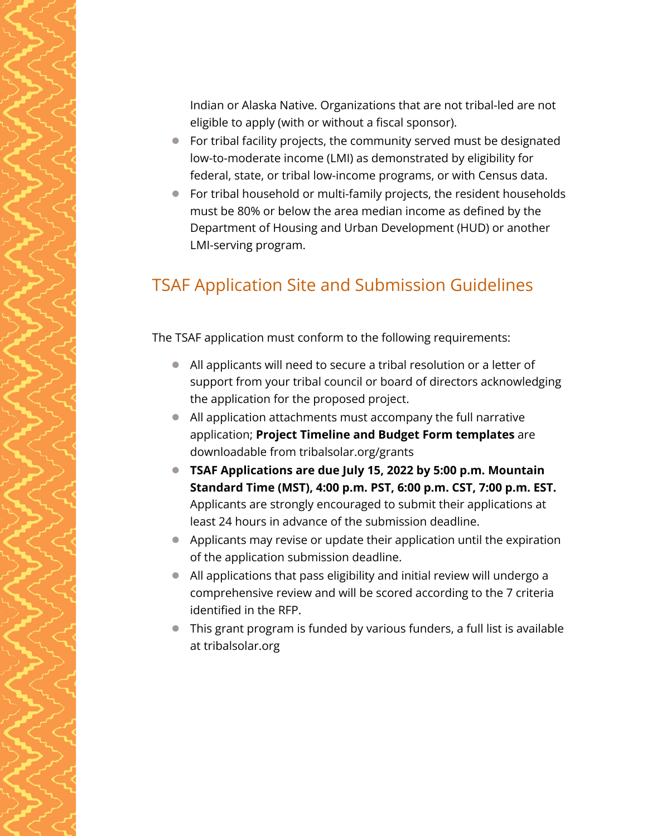Indian or Alaska Native. Organizations that are not tribal-led are not eligible to apply (with or without a fiscal sponsor).

- For tribal facility projects, the community served must be designated low-to-moderate income (LMI) as demonstrated by eligibility for federal, state, or tribal low-income programs, or with Census data.
- For tribal household or multi-family projects, the resident households must be 80% or below the area median income as defined by the Department of Housing and Urban Development (HUD) or another LMI-serving program.

## TSAF Application Site and Submission Guidelines

The TSAF application must conform to the following requirements:

- All applicants will need to secure a tribal resolution or a letter of support from your tribal council or board of directors acknowledging the application for the proposed project.
- All application attachments must accompany the full narrative application; **Project Timeline and Budget Form templates** are downloadable from tribalsolar.org/grants
- **TSAF Applications are due July 15, 2022 by 5:00 p.m. Mountain Standard Time (MST), 4:00 p.m. PST, 6:00 p.m. CST, 7:00 p.m. EST.** Applicants are strongly encouraged to submit their applications at least 24 hours in advance of the submission deadline.
- Applicants may revise or update their application until the expiration of the application submission deadline.
- All applications that pass eligibility and initial review will undergo a comprehensive review and will be scored according to the 7 criteria identified in the RFP.
- This grant program is funded by various funders, a full list is available at tribalsolar.org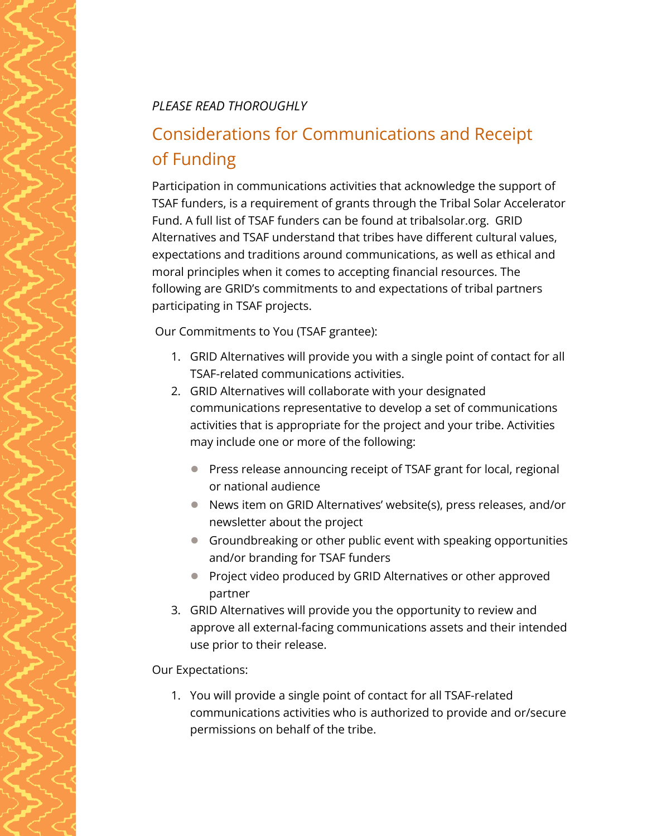#### *PLEASE READ THOROUGHLY*

# Considerations for Communications and Receipt of Funding

Participation in communications activities that acknowledge the support of TSAF funders, is a requirement of grants through the Tribal Solar Accelerator Fund. A full list of TSAF funders can be found at tribalsolar.org. GRID Alternatives and TSAF understand that tribes have different cultural values, expectations and traditions around communications, as well as ethical and moral principles when it comes to accepting financial resources. The following are GRID's commitments to and expectations of tribal partners participating in TSAF projects.

Our Commitments to You (TSAF grantee):

- 1. GRID Alternatives will provide you with a single point of contact for all TSAF-related communications activities.
- 2. GRID Alternatives will collaborate with your designated communications representative to develop a set of communications activities that is appropriate for the project and your tribe. Activities may include one or more of the following:
	- Press release announcing receipt of TSAF grant for local, regional or national audience
	- News item on GRID Alternatives' website(s), press releases, and/or newsletter about the project
	- Groundbreaking or other public event with speaking opportunities and/or branding for TSAF funders
	- Project video produced by GRID Alternatives or other approved partner
- 3. GRID Alternatives will provide you the opportunity to review and approve all external-facing communications assets and their intended use prior to their release.

Our Expectations:

1. You will provide a single point of contact for all TSAF-related communications activities who is authorized to provide and or/secure permissions on behalf of the tribe.